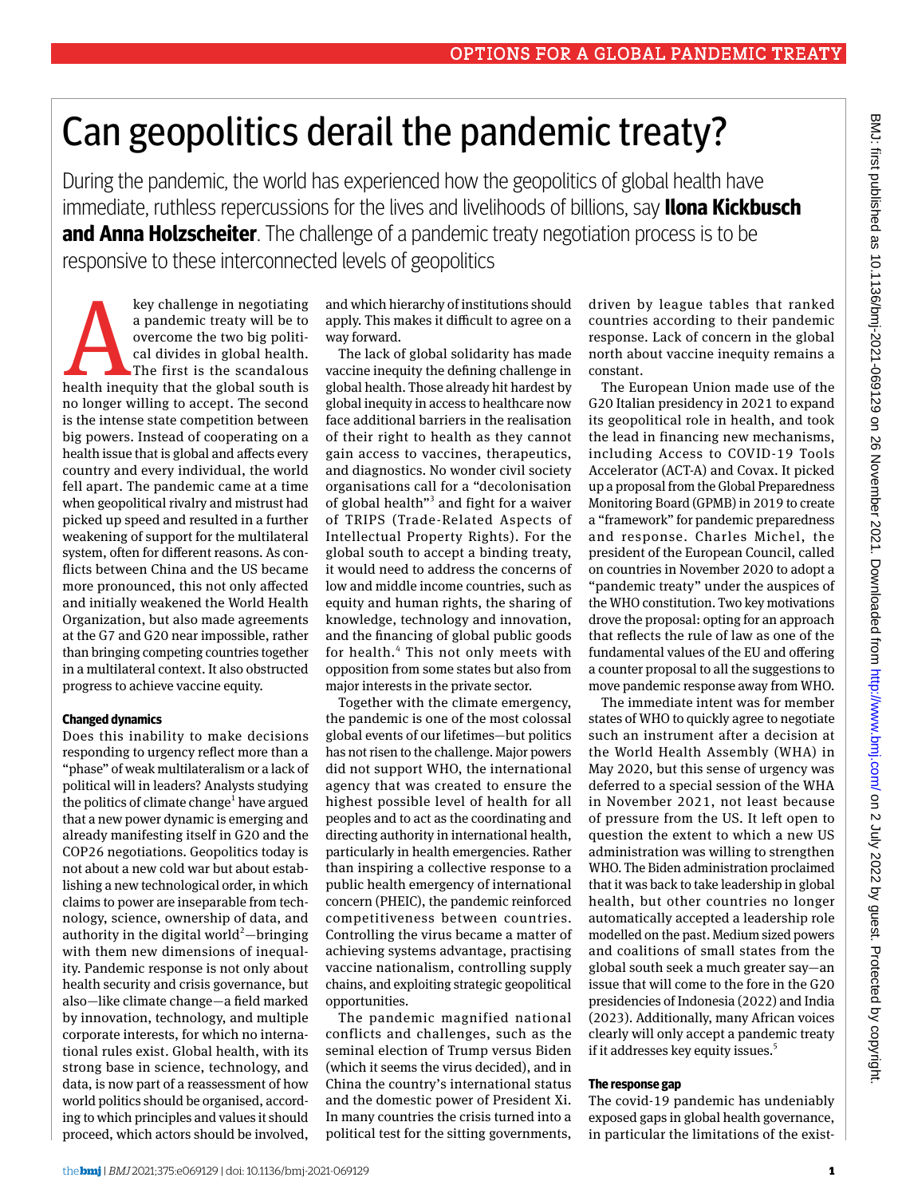# Can geopolitics derail the pandemic treaty?

During the pandemic, the world has experienced how the geopolitics of global health have immediate, ruthless repercussions for the lives and livelihoods of billions, say **Ilona Kickbusch and Anna Holzscheiter**. The challenge of a pandemic treaty negotiation process is to be responsive to these interconnected levels of geopolitics

key challenge in negotiating<br>
a pandemic treaty will be to<br>
overcome the two big politi-<br>
cal divides in global health.<br>
The first is the scandalous<br>
health inequity that the global south is a pandemic treaty will be to overcome the two big political divides in global health. The first is the scandalous no longer willing to accept. The second is the intense state competition between big powers. Instead of cooperating on a health issue that is global and affects every country and every individual, the world fell apart. The pandemic came at a time when geopolitical rivalry and mistrust had picked up speed and resulted in a further weakening of support for the multilateral system, often for different reasons. As conflicts between China and the US became more pronounced, this not only affected and initially weakened the World Health Organization, but also made agreements at the G7 and G20 near impossible, rather than bringing competing countries together in a multilateral context. It also obstructed progress to achieve vaccine equity.

### **Changed dynamics**

Does this inability to make decisions responding to urgency reflect more than a "phase" of weak multilateralism or a lack of political will in leaders? Analysts studying the politics of climate change<sup>1</sup> have argued that a new power dynamic is emerging and already manifesting itself in G20 and the COP26 negotiations. Geopolitics today is not about a new cold war but about establishing a new technological order, in which claims to power are inseparable from technology, science, ownership of data, and authority in the digital world<sup>2</sup> $-$ bringing with them new dimensions of inequality. Pandemic response is not only about health security and crisis governance, but also—like climate change—a field marked by innovation, technology, and multiple corporate interests, for which no international rules exist. Global health, with its strong base in science, technology, and data, is now part of a reassessment of how world politics should be organised, according to which principles and values it should proceed, which actors should be involved,

and which hierarchy of institutions should apply. This makes it difficult to agree on a way forward.

The lack of global solidarity has made vaccine inequity the defining challenge in global health. Those already hit hardest by global inequity in access to healthcare now face additional barriers in the realisation of their right to health as they cannot gain access to vaccines, therapeutics, and diagnostics. No wonder civil society organisations call for a "decolonisation of global health"<sup>3</sup> and fight for a waiver of TRIPS (Trade-Related Aspects of Intellectual Property Rights). For the global south to accept a binding treaty, it would need to address the concerns of low and middle income countries, such as equity and human rights, the sharing of knowledge, technology and innovation, and the financing of global public goods for health.<sup>4</sup> This not only meets with opposition from some states but also from major interests in the private sector.

Together with the climate emergency, the pandemic is one of the most colossal global events of our lifetimes—but politics has not risen to the challenge. Major powers did not support WHO, the international agency that was created to ensure the highest possible level of health for all peoples and to act as the coordinating and directing authority in international health, particularly in health emergencies. Rather than inspiring a collective response to a public health emergency of international concern (PHEIC), the pandemic reinforced competitiveness between countries. Controlling the virus became a matter of achieving systems advantage, practising vaccine nationalism, controlling supply chains, and exploiting strategic geopolitical opportunities.

The pandemic magnified national conflicts and challenges, such as the seminal election of Trump versus Biden (which it seems the virus decided), and in China the country's international status and the domestic power of President Xi. In many countries the crisis turned into a political test for the sitting governments,

driven by league tables that ranked countries according to their pandemic response. Lack of concern in the global north about vaccine inequity remains a constant.

The European Union made use of the G20 Italian presidency in 2021 to expand its geopolitical role in health, and took the lead in financing new mechanisms, including Access to COVID-19 Tools Accelerator (ACT-A) and Covax. It picked up a proposal from the Global Preparedness Monitoring Board (GPMB) in 2019 to create a "framework" for pandemic preparedness and response. Charles Michel, the president of the European Council, called on countries in November 2020 to adopt a "pandemic treaty" under the auspices of the WHO constitution. Two key motivations drove the proposal: opting for an approach that reflects the rule of law as one of the fundamental values of the EU and offering a counter proposal to all the suggestions to move pandemic response away from WHO.

The immediate intent was for member states of WHO to quickly agree to negotiate such an instrument after a decision at the World Health Assembly (WHA) in May 2020, but this sense of urgency was deferred to a special session of the WHA in November 2021, not least because of pressure from the US. It left open to question the extent to which a new US administration was willing to strengthen WHO. The Biden administration proclaimed that it was back to take leadership in global health, but other countries no longer automatically accepted a leadership role modelled on the past. Medium sized powers and coalitions of small states from the global south seek a much greater say—an issue that will come to the fore in the G20 presidencies of Indonesia (2022) and India (2023). Additionally, many African voices clearly will only accept a pandemic treaty if it addresses key equity issues.<sup>5</sup>

## **The response gap**

The covid-19 pandemic has undeniably exposed gaps in global health governance, in particular the limitations of the exist-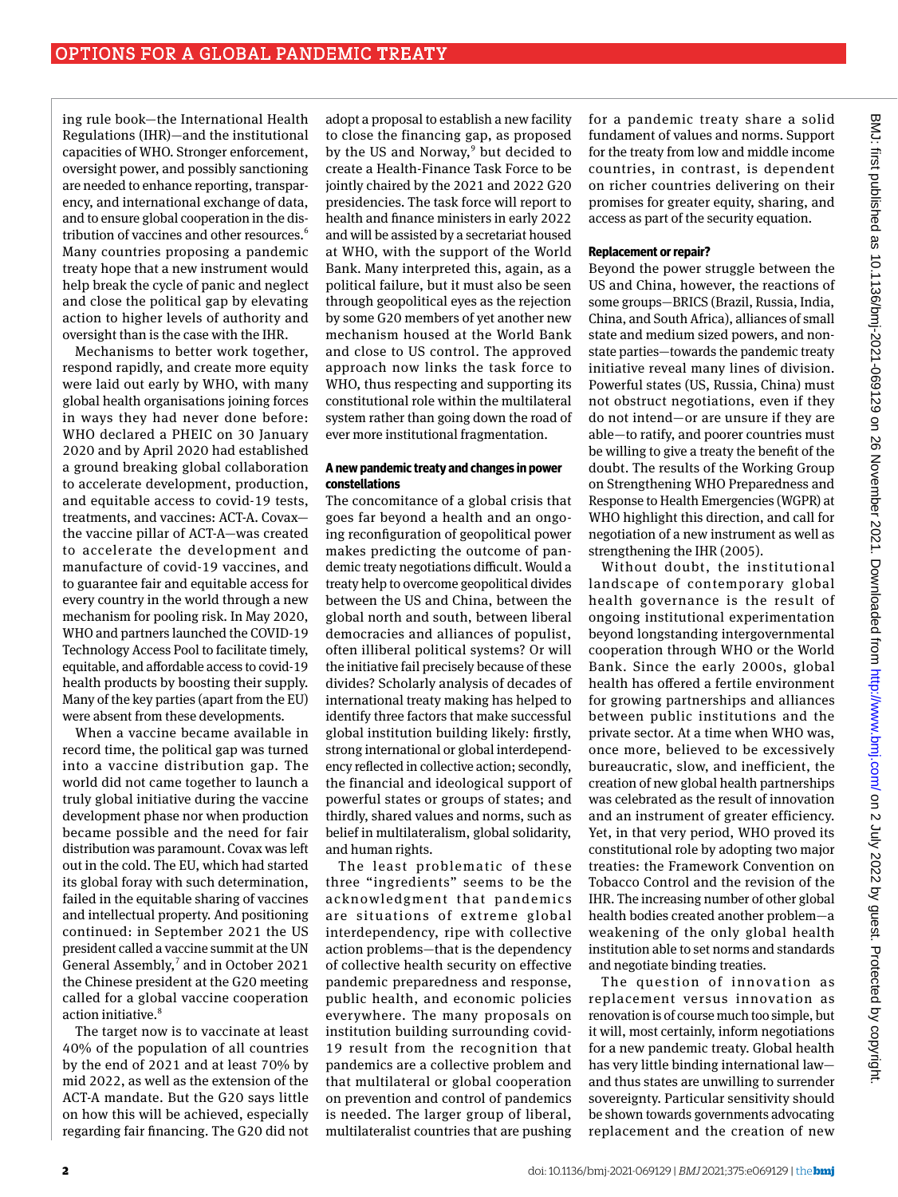ing rule book—the International Health Regulations (IHR)—and the institutional capacities of WHO. Stronger enforcement, oversight power, and possibly sanctioning are needed to enhance reporting, transparency, and international exchange of data, and to ensure global cooperation in the distribution of vaccines and other resources.<sup>6</sup> Many countries proposing a pandemic treaty hope that a new instrument would help break the cycle of panic and neglect and close the political gap by elevating action to higher levels of authority and oversight than is the case with the IHR.

Mechanisms to better work together, respond rapidly, and create more equity were laid out early by WHO, with many global health organisations joining forces in ways they had never done before: WHO declared a PHEIC on 30 January 2020 and by April 2020 had established a ground breaking global collaboration to accelerate development, production, and equitable access to covid-19 tests, treatments, and vaccines: ACT-A. Covax the vaccine pillar of ACT-A—was created to accelerate the development and manufacture of covid-19 vaccines, and to guarantee fair and equitable access for every country in the world through a new mechanism for pooling risk. In May 2020, WHO and partners launched the COVID-19 Technology Access Pool to facilitate timely, equitable, and affordable access to covid-19 health products by boosting their supply. Many of the key parties (apart from the EU) were absent from these developments.

When a vaccine became available in record time, the political gap was turned into a vaccine distribution gap. The world did not came together to launch a truly global initiative during the vaccine development phase nor when production became possible and the need for fair distribution was paramount. Covax was left out in the cold. The EU, which had started its global foray with such determination, failed in the equitable sharing of vaccines and intellectual property. And positioning continued: in September 2021 the US president called a vaccine summit at the UN General Assembly, $^7$  and in October 2021 the Chinese president at the G20 meeting called for a global vaccine cooperation action initiative.<sup>8</sup>

The target now is to vaccinate at least 40% of the population of all countries by the end of 2021 and at least 70% by mid 2022, as well as the extension of the ACT-A mandate. But the G20 says little on how this will be achieved, especially regarding fair financing. The G20 did not

adopt a proposal to establish a new facility to close the financing gap, as proposed by the US and Norway,<sup>9</sup> but decided to create a Health-Finance Task Force to be jointly chaired by the 2021 and 2022 G20 presidencies. The task force will report to health and finance ministers in early 2022 and will be assisted by a secretariat housed at WHO, with the support of the World Bank. Many interpreted this, again, as a political failure, but it must also be seen through geopolitical eyes as the rejection by some G20 members of yet another new mechanism housed at the World Bank and close to US control. The approved approach now links the task force to WHO, thus respecting and supporting its constitutional role within the multilateral system rather than going down the road of ever more institutional fragmentation.

#### **A new pandemic treaty and changes in power constellations**

The concomitance of a global crisis that goes far beyond a health and an ongoing reconfiguration of geopolitical power makes predicting the outcome of pandemic treaty negotiations difficult. Would a treaty help to overcome geopolitical divides between the US and China, between the global north and south, between liberal democracies and alliances of populist, often illiberal political systems? Or will the initiative fail precisely because of these divides? Scholarly analysis of decades of international treaty making has helped to identify three factors that make successful global institution building likely: firstly, strong international or global interdependency reflected in collective action; secondly, the financial and ideological support of powerful states or groups of states; and thirdly, shared values and norms, such as belief in multilateralism, global solidarity, and human rights.

The least problematic of these three "ingredients" seems to be the acknowledgment that pandemics are situations of extreme global interdependency, ripe with collective action problems—that is the dependency of collective health security on effective pandemic preparedness and response, public health, and economic policies everywhere. The many proposals on institution building surrounding covid-19 result from the recognition that pandemics are a collective problem and that multilateral or global cooperation on prevention and control of pandemics is needed. The larger group of liberal, multilateralist countries that are pushing

for a pandemic treaty share a solid fundament of values and norms. Support for the treaty from low and middle income countries, in contrast, is dependent on richer countries delivering on their promises for greater equity, sharing, and access as part of the security equation.

#### **Replacement or repair?**

Beyond the power struggle between the US and China, however, the reactions of some groups—BRICS (Brazil, Russia, India, China, and South Africa), alliances of small state and medium sized powers, and nonstate parties—towards the pandemic treaty initiative reveal many lines of division. Powerful states (US, Russia, China) must not obstruct negotiations, even if they do not intend—or are unsure if they are able—to ratify, and poorer countries must be willing to give a treaty the benefit of the doubt. The results of the Working Group on Strengthening WHO Preparedness and Response to Health Emergencies (WGPR) at WHO highlight this direction, and call for negotiation of a new instrument as well as strengthening the IHR (2005).

Without doubt, the institutional landscape of contemporary global health governance is the result of ongoing institutional experimentation beyond longstanding intergovernmental cooperation through WHO or the World Bank. Since the early 2000s, global health has offered a fertile environment for growing partnerships and alliances between public institutions and the private sector. At a time when WHO was, once more, believed to be excessively bureaucratic, slow, and inefficient, the creation of new global health partnerships was celebrated as the result of innovation and an instrument of greater efficiency. Yet, in that very period, WHO proved its constitutional role by adopting two major treaties: the Framework Convention on Tobacco Control and the revision of the IHR. The increasing number of other global health bodies created another problem—a weakening of the only global health institution able to set norms and standards and negotiate binding treaties.

The question of innovation as replacement versus innovation as renovation is of course much too simple, but it will, most certainly, inform negotiations for a new pandemic treaty. Global health has very little binding international law and thus states are unwilling to surrender sovereignty. Particular sensitivity should be shown towards governments advocating replacement and the creation of new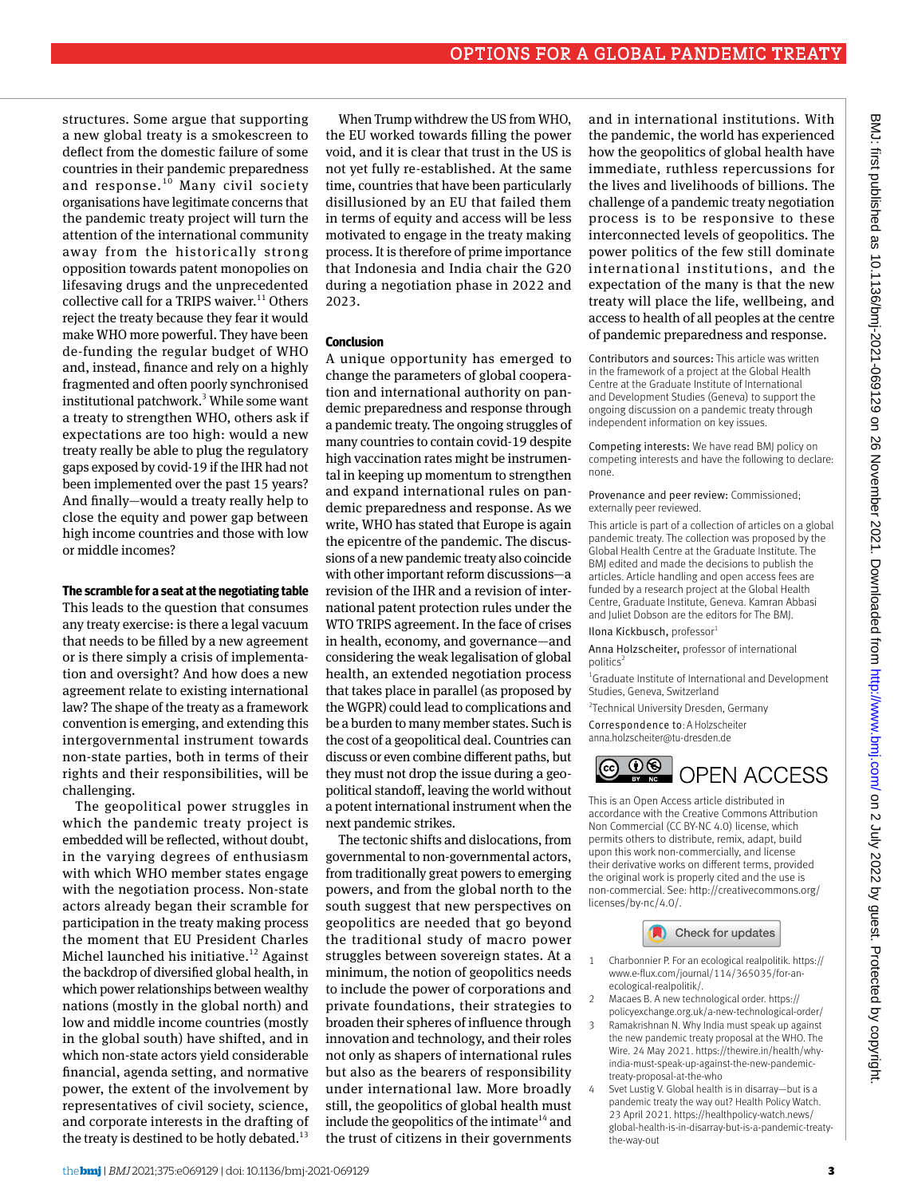structures. Some argue that supporting a new global treaty is a smokescreen to deflect from the domestic failure of some countries in their pandemic preparedness and response.<sup>10</sup> Many civil society organisations have legitimate concerns that the pandemic treaty project will turn the attention of the international community away from the historically strong opposition towards patent monopolies on lifesaving drugs and the unprecedented collective call for a TRIPS waiver. $^{11}$  Others reject the treaty because they fear it would make WHO more powerful. They have been de-funding the regular budget of WHO and, instead, finance and rely on a highly fragmented and often poorly synchronised institutional patchwork.<sup>3</sup> While some want a treaty to strengthen WHO, others ask if expectations are too high: would a new treaty really be able to plug the regulatory gaps exposed by covid-19 if the IHR had not been implemented over the past 15 years? And finally—would a treaty really help to close the equity and power gap between high income countries and those with low or middle incomes?

#### **The scramble for a seat at the negotiating table**

This leads to the question that consumes any treaty exercise: is there a legal vacuum that needs to be filled by a new agreement or is there simply a crisis of implementation and oversight? And how does a new agreement relate to existing international law? The shape of the treaty as a framework convention is emerging, and extending this intergovernmental instrument towards non-state parties, both in terms of their rights and their responsibilities, will be challenging.

The geopolitical power struggles in which the pandemic treaty project is embedded will be reflected, without doubt, in the varying degrees of enthusiasm with which WHO member states engage with the negotiation process. Non-state actors already began their scramble for participation in the treaty making process the moment that EU President Charles Michel launched his initiative.<sup>12</sup> Against the backdrop of diversified global health, in which power relationships between wealthy nations (mostly in the global north) and low and middle income countries (mostly in the global south) have shifted, and in which non-state actors yield considerable financial, agenda setting, and normative power, the extent of the involvement by representatives of civil society, science, and corporate interests in the drafting of the treaty is destined to be hotly debated. $13$ 

When Trump withdrew the US from WHO, the EU worked towards filling the power void, and it is clear that trust in the US is not yet fully re-established. At the same time, countries that have been particularly disillusioned by an EU that failed them in terms of equity and access will be less motivated to engage in the treaty making process. It is therefore of prime importance that Indonesia and India chair the G20 during a negotiation phase in 2022 and 2023.

#### **Conclusion**

A unique opportunity has emerged to change the parameters of global cooperation and international authority on pandemic preparedness and response through a pandemic treaty. The ongoing struggles of many countries to contain covid-19 despite high vaccination rates might be instrumental in keeping up momentum to strengthen and expand international rules on pandemic preparedness and response. As we write, WHO has stated that Europe is again the epicentre of the pandemic. The discussions of a new pandemic treaty also coincide with other important reform discussions—a revision of the IHR and a revision of international patent protection rules under the WTO TRIPS agreement. In the face of crises in health, economy, and governance—and considering the weak legalisation of global health, an extended negotiation process that takes place in parallel (as proposed by the WGPR) could lead to complications and be a burden to many member states. Such is the cost of a geopolitical deal. Countries can discuss or even combine different paths, but they must not drop the issue during a geopolitical standoff, leaving the world without a potent international instrument when the next pandemic strikes.

The tectonic shifts and dislocations, from governmental to non-governmental actors, from traditionally great powers to emerging powers, and from the global north to the south suggest that new perspectives on geopolitics are needed that go beyond the traditional study of macro power struggles between sovereign states. At a minimum, the notion of geopolitics needs to include the power of corporations and private foundations, their strategies to broaden their spheres of influence through innovation and technology, and their roles not only as shapers of international rules but also as the bearers of responsibility under international law. More broadly still, the geopolitics of global health must include the geopolitics of the intimate<sup>14</sup> and the trust of citizens in their governments

and in international institutions. With the pandemic, the world has experienced how the geopolitics of global health have immediate, ruthless repercussions for the lives and livelihoods of billions. The challenge of a pandemic treaty negotiation process is to be responsive to these interconnected levels of geopolitics. The power politics of the few still dominate international institutions, and the expectation of the many is that the new treaty will place the life, wellbeing, and access to health of all peoples at the centre of pandemic preparedness and response.

Contributors and sources: This article was written in the framework of a project at the Global Health Centre at the Graduate Institute of International and Development Studies (Geneva) to support the ongoing discussion on a pandemic treaty through independent information on key issues.

Competing interests: We have read BMJ policy on competing interests and have the following to declare: none.

#### Provenance and peer review: Commissioned; externally peer reviewed.

This article is part of a collection of articles on a global pandemic treaty. The collection was proposed by the Global Health Centre at the Graduate Institute. The BMJ edited and made the decisions to publish the articles. Article handling and open access fees are funded by a research project at the Global Health Centre, Graduate Institute, Geneva. Kamran Abbasi and Juliet Dobson are the editors for The BMJ.

#### Ilona Kickbusch, professor1

Anna Holzscheiter, professor of international politics

<sup>1</sup> Graduate Institute of International and Development Studies, Geneva, Switzerland

2 Technical University Dresden, Germany

Correspondence to: A Holzscheiter anna.holzscheiter@tu-dresden.de



This is an Open Access article distributed in accordance with the Creative Commons Attribution Non Commercial (CC BY-NC 4.0) license, which permits others to distribute, remix, adapt, build upon this work non-commercially, and license their derivative works on different terms, provided the original work is properly cited and the use is non-commercial. See: [http://creativecommons.org/](http://creativecommons.org/licenses/by-nc/4.0/) [licenses/by-nc/4.0/.](http://creativecommons.org/licenses/by-nc/4.0/)



- 1 Charbonnier P. For an ecological realpolitik. [https://](https://www.e-flux.com/journal/114/365035/for-an-ecological-realpolitik/) [www.e-flux.com/journal/114/365035/for-an](https://www.e-flux.com/journal/114/365035/for-an-ecological-realpolitik/)[ecological-realpolitik/](https://www.e-flux.com/journal/114/365035/for-an-ecological-realpolitik/).
- 2 Macaes B. A new technological order. [https://](https://policyexchange.org.uk/a-new-technological-order/)
- [policyexchange.org.uk/a-new-technological-order/](https://policyexchange.org.uk/a-new-technological-order/) Ramakrishnan N. Why India must speak up against the new pandemic treaty proposal at the WHO. The Wire. 24 May 2021. [https://thewire.in/health/why](https://thewire.in/health/why-india-must-speak-up-against-the-new-pandemic-treaty-proposal-at-the-who)[india-must-speak-up-against-the-new-pandemic](https://thewire.in/health/why-india-must-speak-up-against-the-new-pandemic-treaty-proposal-at-the-who)[treaty-proposal-at-the-who](https://thewire.in/health/why-india-must-speak-up-against-the-new-pandemic-treaty-proposal-at-the-who)
- Svet Lustig V. Global health is in disarray-but is a pandemic treaty the way out? Health Policy Watch. 23 April 2021. [https://healthpolicy-watch.news/](https://healthpolicy-watch.news/global-health-is-in-disarray-but-is-a-pandemic-treaty-the-way-out) [global-health-is-in-disarray-but-is-a-pandemic-treaty](https://healthpolicy-watch.news/global-health-is-in-disarray-but-is-a-pandemic-treaty-the-way-out)[the-way-out](https://healthpolicy-watch.news/global-health-is-in-disarray-but-is-a-pandemic-treaty-the-way-out)